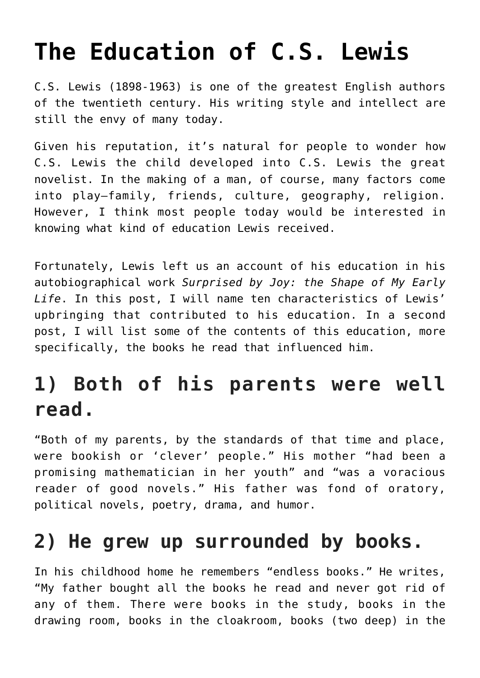# **[The Education of C.S. Lewis](https://intellectualtakeout.org/2016/01/the-education-of-c-s-lewis/)**

C.S. Lewis (1898-1963) is one of the greatest English authors of the twentieth century. His writing style and intellect are still the envy of many today.

Given his reputation, it's natural for people to wonder how C.S. Lewis the child developed into C.S. Lewis the great novelist. In the making of a man, of course, many factors come into play—family, friends, culture, geography, religion. However, I think most people today would be interested in knowing what kind of education Lewis received.

Fortunately, Lewis left us an account of his education in his autobiographical work *Surprised by Joy: the Shape of My Early Life*. In this post, I will name ten characteristics of Lewis' upbringing that contributed to his education. In a second post, I will list some of the contents of this education, more specifically, the books he read that influenced him.

#### **1) Both of his parents were well read.**

"Both of my parents, by the standards of that time and place, were bookish or 'clever' people." His mother "had been a promising mathematician in her youth" and "was a voracious reader of good novels." His father was fond of oratory, political novels, poetry, drama, and humor.

#### **2) He grew up surrounded by books.**

In his childhood home he remembers "endless books." He writes, "My father bought all the books he read and never got rid of any of them. There were books in the study, books in the drawing room, books in the cloakroom, books (two deep) in the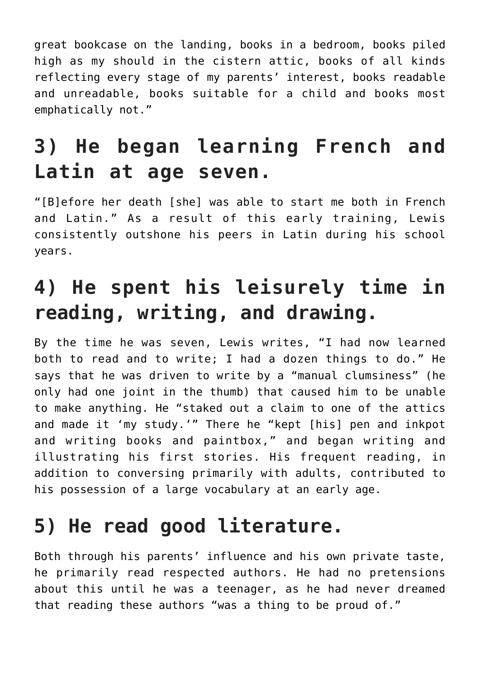great bookcase on the landing, books in a bedroom, books piled high as my should in the cistern attic, books of all kinds reflecting every stage of my parents' interest, books readable and unreadable, books suitable for a child and books most emphatically not."

## **3) He began learning French and Latin at age seven.**

"[B]efore her death [she] was able to start me both in French and Latin." As a result of this early training, Lewis consistently outshone his peers in Latin during his school years.

## **4) He spent his leisurely time in reading, writing, and drawing.**

By the time he was seven, Lewis writes, "I had now learned both to read and to write; I had a dozen things to do." He says that he was driven to write by a "manual clumsiness" (he only had one joint in the thumb) that caused him to be unable to make anything. He "staked out a claim to one of the attics and made it 'my study.'" There he "kept [his] pen and inkpot and writing books and paintbox," and began writing and illustrating his first stories. His frequent reading, in addition to conversing primarily with adults, contributed to his possession of a large vocabulary at an early age.

#### **5) He read good literature.**

Both through his parents' influence and his own private taste, he primarily read respected authors. He had no pretensions about this until he was a teenager, as he had never dreamed that reading these authors "was a thing to be proud of."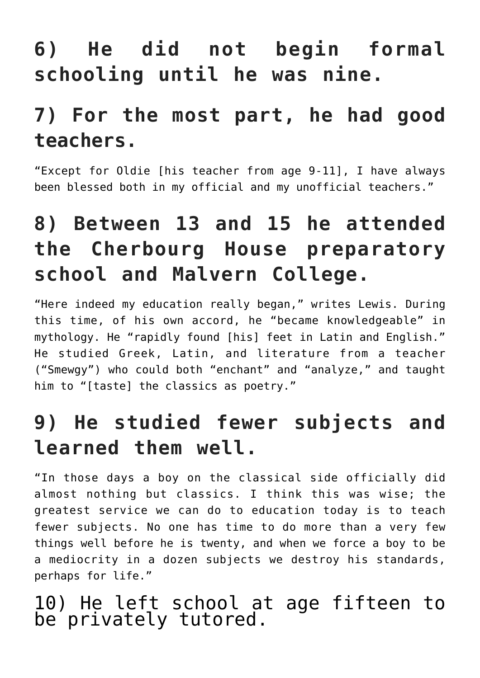## **6) He did not begin formal schooling until he was nine.**

#### **7) For the most part, he had good teachers.**

"Except for Oldie [his teacher from age 9-11], I have always been blessed both in my official and my unofficial teachers."

## **8) Between 13 and 15 he attended the Cherbourg House preparatory school and Malvern College.**

"Here indeed my education really began," writes Lewis. During this time, of his own accord, he "became knowledgeable" in mythology. He "rapidly found [his] feet in Latin and English." He studied Greek, Latin, and literature from a teacher ("Smewgy") who could both "enchant" and "analyze," and taught him to "[taste] the classics as poetry."

#### **9) He studied fewer subjects and learned them well.**

"In those days a boy on the classical side officially did almost nothing but classics. I think this was wise; the greatest service we can do to education today is to teach fewer subjects. No one has time to do more than a very few things well before he is twenty, and when we force a boy to be a mediocrity in a dozen subjects we destroy his standards, perhaps for life."

#### 10) He left school at age fifteen to be privately tutored.